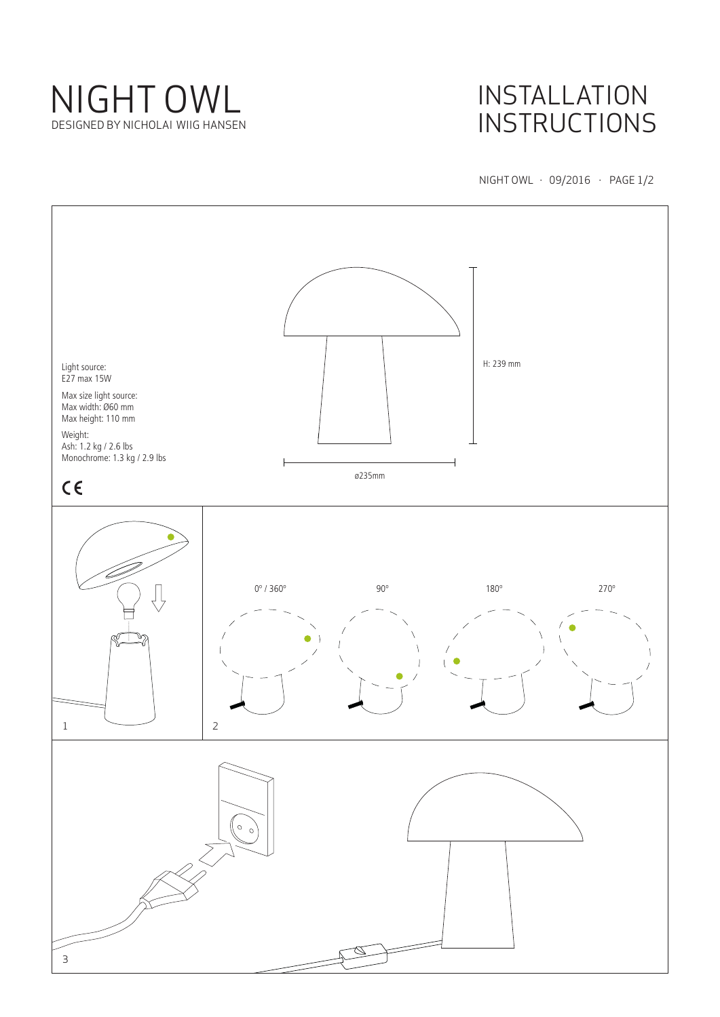

# INSTALLATION **INSTRUCTIONS**

NIGHT OWL · 09/2016 · PAGE 1/2